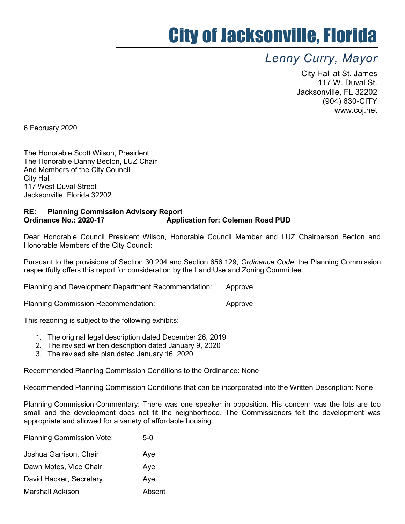## City of Jacksonville, Florida

## Lenny Curry, Mayor

City Hall at St. James 117 W. Duval St. Jacksonville, FL 32202 (904) 630-CITY www.coj.net

6 February 2020

The Honorable Scott Wilson, President The Honorable Danny Becton, LUZ Chair And Members of the City Council City Hall 117 West Duval Street Jacksonville, Florida 32202

## RE: Planning Commission Advisory Report Ordinance No.: 2020-17 Application for: Coleman Road PUD

Dear Honorable Council President Wilson, Honorable Council Member and LUZ Chairperson Becton and Honorable Members of the City Council:

Pursuant to the provisions of Section 30.204 and Section 656.129, Ordinance Code, the Planning Commission respectfully offers this report for consideration by the Land Use and Zoning Committee.

Planning and Development Department Recommendation: Approve

Planning Commission Recommendation: example and approve

This rezoning is subject to the following exhibits:

- 1. The original legal description dated December 26, 2019
- 2. The revised written description dated January 9, 2020
- 3. The revised site plan dated January 16, 2020

Recommended Planning Commission Conditions to the Ordinance: None

Recommended Planning Commission Conditions that can be incorporated into the Written Description: None

Planning Commission Commentary: There was one speaker in opposition. His concern was the lots are too small and the development does not fit the neighborhood. The Commissioners felt the development was appropriate and allowed for a variety of affordable housing.

| <b>Planning Commission Vote:</b> | 5-0    |
|----------------------------------|--------|
| Joshua Garrison, Chair           | Aye    |
| Dawn Motes, Vice Chair           | Aye    |
| David Hacker, Secretary          | Aye    |
| Marshall Adkison                 | Absent |